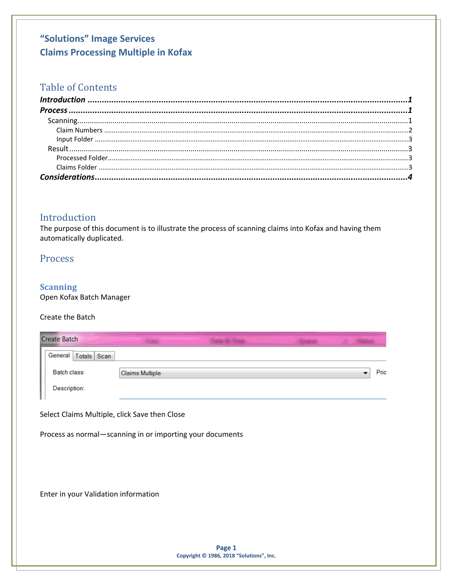## **Table of Contents**

| $\textit{Process} \, \, \ldots \, \, \ldots \, \, \ldots \, \, \ldots \, \, \ldots \, \, \ldots \, \, \ldots \, \, \ldots \, \, \ldots \, \, \ldots \, \, \ldots \, \, \ldots \, \, \ldots \, \, \ldots \, \, \ldots \, \, \ldots \, \, \ldots \, \, \ldots \, \, \ldots \, \, \ldots \, \, \ldots \, \, \ldots \, \, \ldots \, \, \ldots \, \, \ldots \, \, \ldots \, \, \ldots \, \, \ldots \, \, \ldots \, \, \ldots \, \,$ |  |
|--------------------------------------------------------------------------------------------------------------------------------------------------------------------------------------------------------------------------------------------------------------------------------------------------------------------------------------------------------------------------------------------------------------------------------|--|
|                                                                                                                                                                                                                                                                                                                                                                                                                                |  |
|                                                                                                                                                                                                                                                                                                                                                                                                                                |  |
|                                                                                                                                                                                                                                                                                                                                                                                                                                |  |
|                                                                                                                                                                                                                                                                                                                                                                                                                                |  |
|                                                                                                                                                                                                                                                                                                                                                                                                                                |  |
|                                                                                                                                                                                                                                                                                                                                                                                                                                |  |
|                                                                                                                                                                                                                                                                                                                                                                                                                                |  |

### <span id="page-0-0"></span>Introduction

The purpose of this document is to illustrate the process of scanning claims into Kofax and having them automatically duplicated.

### <span id="page-0-1"></span>Process

### <span id="page-0-2"></span>**Scanning**

Open Kofax Batch Manager

#### Create the Batch

|                                                           | <b>Create Batch</b>     |  |  |                                               |  |  |                          |      |
|-----------------------------------------------------------|-------------------------|--|--|-----------------------------------------------|--|--|--------------------------|------|
|                                                           | General   Totals   Scan |  |  |                                               |  |  |                          |      |
|                                                           | Batch class:            |  |  | <b>Claims Multiple</b>                        |  |  | $\overline{\phantom{a}}$ | Pric |
|                                                           | Description:            |  |  |                                               |  |  |                          |      |
|                                                           |                         |  |  | Select Claims Multiple, click Save then Close |  |  |                          |      |
| Process as normal-scanning in or importing your documents |                         |  |  |                                               |  |  |                          |      |
|                                                           |                         |  |  |                                               |  |  |                          |      |
|                                                           |                         |  |  |                                               |  |  |                          |      |
|                                                           |                         |  |  | Enter in your Validation information          |  |  |                          |      |
|                                                           |                         |  |  |                                               |  |  |                          |      |
|                                                           |                         |  |  |                                               |  |  |                          |      |
|                                                           |                         |  |  |                                               |  |  |                          |      |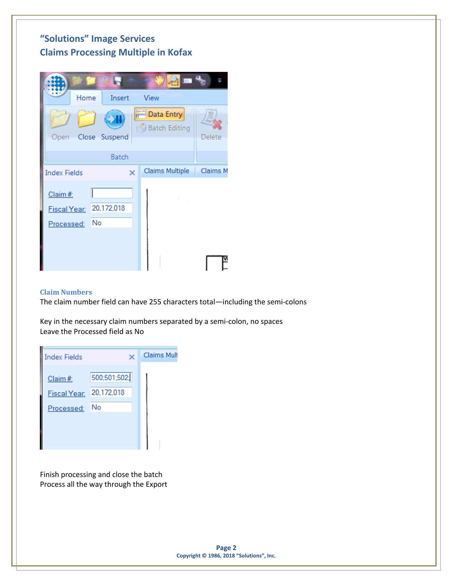

#### <span id="page-1-0"></span>**Claim Numbers**

The claim number field can have 255 characters total—including the semi-colons

Key in the necessary claim numbers separated by a semi-colon, no spaces Leave the Processed field as No

| <b>Index Fields</b> |                                       | <b>Claims Mult</b> |
|---------------------|---------------------------------------|--------------------|
| Claim #:            | 500;501;502;                          |                    |
| <b>Fiscal Year:</b> | 20,172,018                            |                    |
| Processed:          | No                                    |                    |
|                     |                                       |                    |
|                     |                                       |                    |
|                     |                                       |                    |
|                     | Finish processing and close the batch |                    |

Process all the way through the Export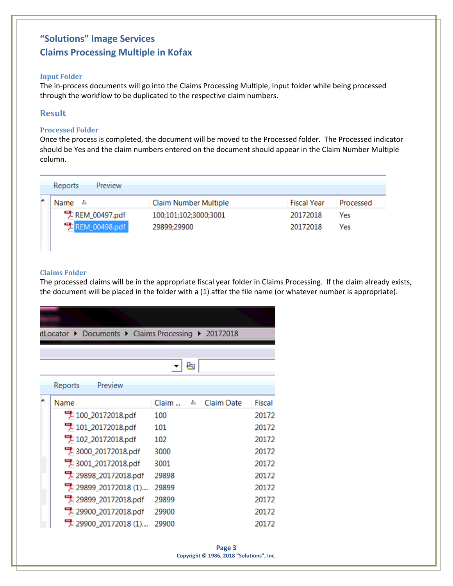#### <span id="page-2-0"></span>**Input Folder**

The in-process documents will go into the Claims Processing Multiple, Input folder while being processed through the workflow to be duplicated to the respective claim numbers.

### <span id="page-2-1"></span>**Result**

#### <span id="page-2-2"></span>**Processed Folder**

Once the process is completed, the document will be moved to the Processed folder. The Processed indicator should be Yes and the claim numbers entered on the document should appear in the Claim Number Multiple column.

| Reports<br>Preview             |                                      |                      |            |
|--------------------------------|--------------------------------------|----------------------|------------|
| 長<br>Name                      | <b>Claim Number Multiple</b>         | Fiscal Year          | Processed  |
| REM_00497.pdf<br>REM_00498.pdf | 100;101;102;3000;3001<br>29899:29900 | 20172018<br>20172018 | Yes<br>Yes |

#### <span id="page-2-3"></span>**Claims Folder**

The processed claims will be in the appropriate fiscal year folder in Claims Processing. If the claim already exists, the document will be placed in the folder with a (1) after the file name (or whatever number is appropriate).

|  | itLocator ▶ Documents ▶ Claims Processing ▶ 20172018 |       |   |                   |        |  |  |  |
|--|------------------------------------------------------|-------|---|-------------------|--------|--|--|--|
|  |                                                      |       |   |                   |        |  |  |  |
|  | ₩                                                    |       |   |                   |        |  |  |  |
|  | Reports<br>Preview                                   |       |   |                   |        |  |  |  |
|  | Name                                                 | Claim | 昼 | <b>Claim Date</b> | Fiscal |  |  |  |
|  | -100_20172018.pdf                                    | 100   |   |                   | 20172  |  |  |  |
|  | 101_20172018.pdf                                     | 101   |   |                   | 20172  |  |  |  |
|  | 4 102_20172018.pdf                                   | 102   |   |                   | 20172  |  |  |  |
|  | 20172018.pdf                                         | 3000  |   |                   | 20172  |  |  |  |
|  | 20172018.pdf                                         | 3001  |   |                   | 20172  |  |  |  |
|  | 29898_20172018.pdf                                   | 29898 |   |                   | 20172  |  |  |  |
|  | "29899_20172018 (1)                                  | 29899 |   |                   | 20172  |  |  |  |
|  | 29899_20172018.pdf                                   | 29899 |   |                   | 20172  |  |  |  |
|  | 29900_20172018.pdf                                   | 29900 |   |                   | 20172  |  |  |  |
|  | "#29900_20172018 (1)                                 | 29900 |   |                   | 20172  |  |  |  |
|  |                                                      |       |   |                   |        |  |  |  |

**Page 3 Copyright © 1986, 2018 "Solutions", Inc.**